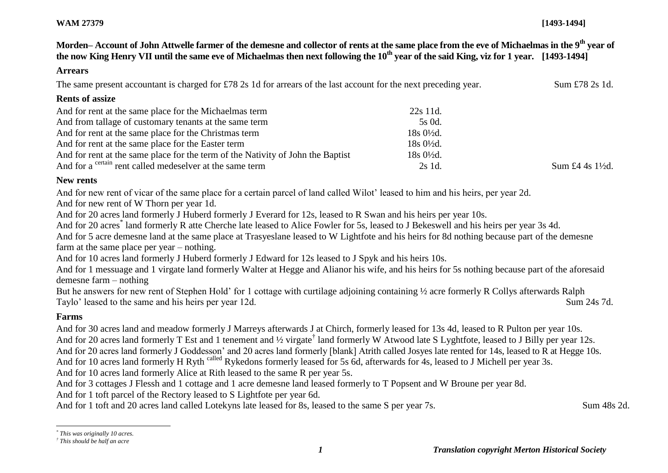#### **WAM 27379 [1493-1494]**

**Morden– Account of John Attwelle farmer of the demesne and collector of rents at the same place from the eve of Michaelmas in the 9th year of the now King Henry VII until the same eve of Michaelmas then next following the 10th year of the said King, viz for 1 year. [1493-1494]**

#### **Arrears**

The same present accountant is charged for £78 2s 1d for arrears of the last account for the next preceding year. Sum £78 2s 1d.

#### **Rents of assize**

| And for rent at the same place for the Michaelmas term                          | 22s 11d.             |                             |
|---------------------------------------------------------------------------------|----------------------|-----------------------------|
| And from tallage of customary tenants at the same term                          | 5s 0d.               |                             |
| And for rent at the same place for the Christmas term                           | $18s0\frac{1}{2}d$ . |                             |
| And for rent at the same place for the Easter term                              | $18s0\frac{1}{2}d$ . |                             |
| And for rent at the same place for the term of the Nativity of John the Baptist | 18s 0½d.             |                             |
| And for a <sup>certain</sup> rent called medeselver at the same term            | 2s 1d.               | Sum £4 4s $1\frac{1}{2}d$ . |

#### **New rents**

And for new rent of vicar of the same place for a certain parcel of land called Wilot' leased to him and his heirs, per year 2d.

And for new rent of W Thorn per year 1d.

And for 20 acres land formerly J Huberd formerly J Everard for 12s, leased to R Swan and his heirs per year 10s.

And for 20 acres<sup>\*</sup> land formerly R atte Cherche late leased to Alice Fowler for 5s, leased to J Bekeswell and his heirs per year 3s 4d.

And for 5 acre demesne land at the same place at Trasyeslane leased to W Lightfote and his heirs for 8d nothing because part of the demesne farm at the same place per year – nothing.

And for 10 acres land formerly J Huberd formerly J Edward for 12s leased to J Spyk and his heirs 10s.

And for 1 messuage and 1 virgate land formerly Walter at Hegge and Alianor his wife, and his heirs for 5s nothing because part of the aforesaid demesne farm – nothing

But he answers for new rent of Stephen Hold' for 1 cottage with curtilage adjoining containing ½ acre formerly R Collys afterwards Ralph Taylo' leased to the same and his heirs per year 12d. Sum 24s 7d.

## **Farms**

l

And for 30 acres land and meadow formerly J Marreys afterwards J at Chirch, formerly leased for 13s 4d, leased to R Pulton per year 10s. And for 20 acres land formerly T Est and 1 tenement and 1/2 virgate<sup>†</sup> land formerly W Atwood late S Lyghtfote, leased to J Billy per year 12s. And for 20 acres land formerly J Goddesson' and 20 acres land formerly [blank] Atrith called Josyes late rented for 14s, leased to R at Hegge 10s. And for 10 acres land formerly H Ryth called Rykedons formerly leased for 5s 6d, afterwards for 4s, leased to J Michell per year 3s. And for 10 acres land formerly Alice at Rith leased to the same R per year 5s.

And for 3 cottages J Flessh and 1 cottage and 1 acre demesne land leased formerly to T Popsent and W Broune per year 8d.

And for 1 toft parcel of the Rectory leased to S Lightfote per year 6d.

And for 1 toft and 20 acres land called Lotekyns late leased for 8s, leased to the same S per year 7s. Sum 48s 2d.

*<sup>\*</sup> This was originally 10 acres.*

*<sup>†</sup> This should be half an acre*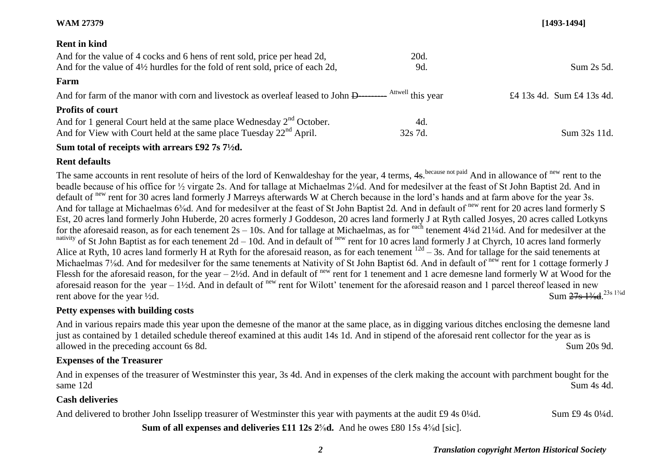#### **WAM 27379 [1493-1494]**

## **Rent in kind**

| And for the value of 4 cocks and 6 hens of rent sold, price per head 2d,                                         | 20d.    |                           |
|------------------------------------------------------------------------------------------------------------------|---------|---------------------------|
| And for the value of $4\frac{1}{2}$ hurdles for the fold of rent sold, price of each 2d,                         | 9d.     | Sum 2s 5d.                |
| Farm                                                                                                             |         |                           |
| And for farm of the manor with corn and livestock as overleaf leased to John D————— <sup>Attwell</sup> this vear |         | £4 13s 4d. Sum £4 13s 4d. |
| <b>Profits of court</b>                                                                                          |         |                           |
| And for 1 general Court held at the same place Wednesday $2nd$ October.                                          | 4d.     |                           |
| And for View with Court held at the same place Tuesday $22nd$ April.                                             | 32s 7d. | Sum 32s 11d.              |
|                                                                                                                  |         |                           |

#### **Sum total of receipts with arrears £92 7s 7½d.**

## **Rent defaults**

The same accounts in rent resolute of heirs of the lord of Kenwaldeshay for the year, 4 terms, 4s. because not paid And in allowance of <sup>new</sup> rent to the beadle because of his office for ½ virgate 2s. And for tallage at Michaelmas 2⅛d. And for medesilver at the feast of St John Baptist 2d. And in default of new rent for 30 acres land formerly J Marreys afterwards W at Cherch because in the lord's hands and at farm above for the year 3s. And for tallage at Michaelmas 6<sup>3</sup>/<sub>8</sub>d. And for medesilver at the feast of St John Baptist 2d. And in default of <sup>new</sup> rent for 20 acres land formerly S Est, 20 acres land formerly John Huberde, 20 acres formerly J Goddeson, 20 acres land formerly J at Ryth called Josyes, 20 acres called Lotkyns for the aforesaid reason, as for each tenement  $2s - 10s$ . And for tallage at Michaelmas, as for each tenement 4¼d 21¼d. And for medesilver at the nativity of St John Baptist as for each tenement  $2d - 10d$ . And in default of <sup>new</sup> rent for 10 acres land formerly J at Chyrch, 10 acres land formerly Alice at Ryth, 10 acres land formerly H at Ryth for the aforesaid reason, as for each tenement  $12d - 3s$ . And for tallage for the said tenements at Michaelmas 7<sup>1</sup>/<sub>8</sub>d. And for medesilver for the same tenements at Nativity of St John Baptist 6d. And in default of <sup>new</sup> rent for 1 cottage formerly J Flessh for the aforesaid reason, for the year –  $2\frac{1}{2}d$ . And in default of new rent for 1 tenement and 1 acre demesne land formerly W at Wood for the aforesaid reason for the year – 1½d. And in default of  $n_{\text{ew}}$  rent for Wilott' tenement for the aforesaid reason and 1 parcel thereof leased in new rent above for the year  $\frac{1}{2}d$ . Sum 27s 13/4d 23s 1<sup>3/4d</sup>

## **Petty expenses with building costs**

And in various repairs made this year upon the demesne of the manor at the same place, as in digging various ditches enclosing the demesne land just as contained by 1 detailed schedule thereof examined at this audit 14s 1d. And in stipend of the aforesaid rent collector for the year as is allowed in the preceding account 6s 8d. Sum 20s 9d.

## **Expenses of the Treasurer**

And in expenses of the treasurer of Westminster this year, 3s 4d. And in expenses of the clerk making the account with parchment bought for the same 12d Sum 4s 4d.

## **Cash deliveries**

And delivered to brother John Isselipp treasurer of Westminster this year with payments at the audit £9 4s 0¼d. Sum £9 4s 0¼d.

**Sum of all expenses and deliveries £11 12s 2<sup>5</sup>/<sub>8</sub>d. And he owes £80 15s 4<sup>5</sup>/<sub>8</sub>d [sic].**